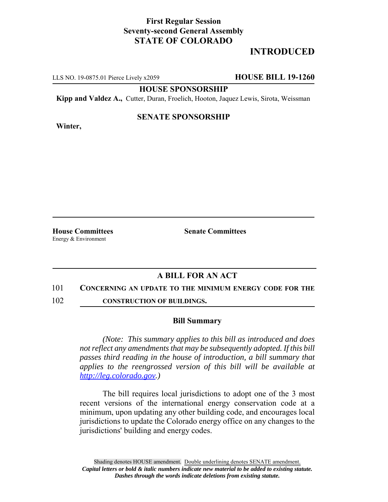## **First Regular Session Seventy-second General Assembly STATE OF COLORADO**

## **INTRODUCED**

LLS NO. 19-0875.01 Pierce Lively x2059 **HOUSE BILL 19-1260**

**HOUSE SPONSORSHIP**

**Kipp and Valdez A.,** Cutter, Duran, Froelich, Hooton, Jaquez Lewis, Sirota, Weissman

# **Winter,**

### **SENATE SPONSORSHIP**

Energy & Environment

**House Committees Senate Committees** 

## **A BILL FOR AN ACT**

#### 101 **CONCERNING AN UPDATE TO THE MINIMUM ENERGY CODE FOR THE**

102 **CONSTRUCTION OF BUILDINGS.**

#### **Bill Summary**

*(Note: This summary applies to this bill as introduced and does not reflect any amendments that may be subsequently adopted. If this bill passes third reading in the house of introduction, a bill summary that applies to the reengrossed version of this bill will be available at http://leg.colorado.gov.)*

The bill requires local jurisdictions to adopt one of the 3 most recent versions of the international energy conservation code at a minimum, upon updating any other building code, and encourages local jurisdictions to update the Colorado energy office on any changes to the jurisdictions' building and energy codes.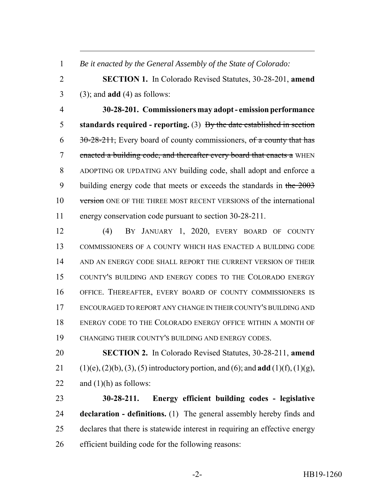*Be it enacted by the General Assembly of the State of Colorado:*

 **SECTION 1.** In Colorado Revised Statutes, 30-28-201, **amend** (3); and **add** (4) as follows:

 **30-28-201. Commissioners may adopt - emission performance standards required - reporting.** (3) By the date established in section  $6\frac{30-28-211}{10}$ , Every board of county commissioners, of a county that has 7 enacted a building code, and thereafter every board that enacts a WHEN ADOPTING OR UPDATING ANY building code, shall adopt and enforce a 9 building energy code that meets or exceeds the standards in the 2003 10 version ONE OF THE THREE MOST RECENT VERSIONS of the international energy conservation code pursuant to section 30-28-211.

 (4) BY JANUARY 1, 2020, EVERY BOARD OF COUNTY COMMISSIONERS OF A COUNTY WHICH HAS ENACTED A BUILDING CODE 14 AND AN ENERGY CODE SHALL REPORT THE CURRENT VERSION OF THEIR COUNTY'S BUILDING AND ENERGY CODES TO THE COLORADO ENERGY OFFICE. THEREAFTER, EVERY BOARD OF COUNTY COMMISSIONERS IS ENCOURAGED TO REPORT ANY CHANGE IN THEIR COUNTY'S BUILDING AND ENERGY CODE TO THE COLORADO ENERGY OFFICE WITHIN A MONTH OF CHANGING THEIR COUNTY'S BUILDING AND ENERGY CODES.

 **SECTION 2.** In Colorado Revised Statutes, 30-28-211, **amend** (1)(e), (2)(b), (3), (5) introductory portion, and (6); and **add** (1)(f), (1)(g), 22 and  $(1)(h)$  as follows:

 **30-28-211. Energy efficient building codes - legislative declaration - definitions.** (1) The general assembly hereby finds and declares that there is statewide interest in requiring an effective energy efficient building code for the following reasons: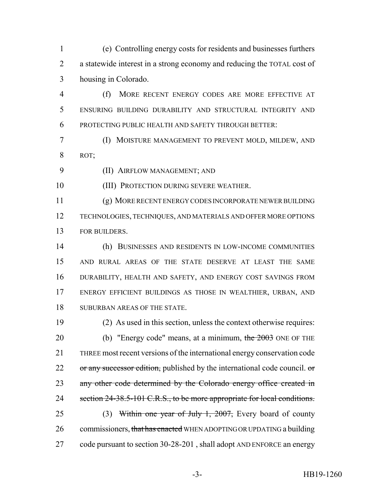(e) Controlling energy costs for residents and businesses furthers a statewide interest in a strong economy and reducing the TOTAL cost of housing in Colorado.

- (f) MORE RECENT ENERGY CODES ARE MORE EFFECTIVE AT ENSURING BUILDING DURABILITY AND STRUCTURAL INTEGRITY AND PROTECTING PUBLIC HEALTH AND SAFETY THROUGH BETTER:
- (I) MOISTURE MANAGEMENT TO PREVENT MOLD, MILDEW, AND ROT;
- (II) AIRFLOW MANAGEMENT; AND

(III) PROTECTION DURING SEVERE WEATHER.

 (g) MORE RECENT ENERGY CODES INCORPORATE NEWER BUILDING TECHNOLOGIES, TECHNIQUES, AND MATERIALS AND OFFER MORE OPTIONS FOR BUILDERS.

 (h) BUSINESSES AND RESIDENTS IN LOW-INCOME COMMUNITIES AND RURAL AREAS OF THE STATE DESERVE AT LEAST THE SAME DURABILITY, HEALTH AND SAFETY, AND ENERGY COST SAVINGS FROM ENERGY EFFICIENT BUILDINGS AS THOSE IN WEALTHIER, URBAN, AND SUBURBAN AREAS OF THE STATE.

 (2) As used in this section, unless the context otherwise requires: 20 (b) "Energy code" means, at a minimum, the ONE OF THE THREE most recent versions of the international energy conservation code 22 or any successor edition, published by the international code council. or 23 any other code determined by the Colorado energy office created in 24 section 24-38.5-101 C.R.S., to be more appropriate for local conditions. 25 (3) Within one year of July 1, 2007, Every board of county 26 commissioners, that has enacted WHEN ADOPTING OR UPDATING a building 27 code pursuant to section 30-28-201, shall adopt AND ENFORCE an energy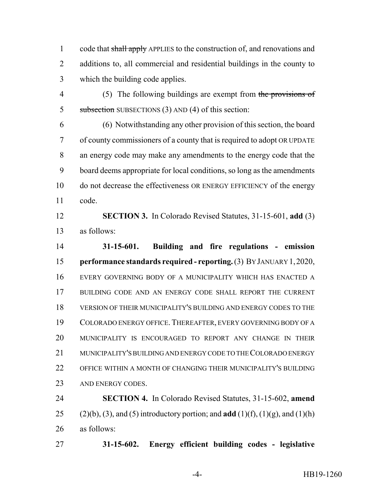1 code that shall apply APPLIES to the construction of, and renovations and additions to, all commercial and residential buildings in the county to which the building code applies.

4 (5) The following buildings are exempt from the provisions of 5 subsection SUBSECTIONS (3) AND (4) of this section:

 (6) Notwithstanding any other provision of this section, the board of county commissioners of a county that is required to adopt OR UPDATE an energy code may make any amendments to the energy code that the board deems appropriate for local conditions, so long as the amendments do not decrease the effectiveness OR ENERGY EFFICIENCY of the energy code.

 **SECTION 3.** In Colorado Revised Statutes, 31-15-601, **add** (3) as follows:

 **31-15-601. Building and fire regulations - emission performance standards required - reporting.** (3) BY JANUARY 1,2020, EVERY GOVERNING BODY OF A MUNICIPALITY WHICH HAS ENACTED A 17 BUILDING CODE AND AN ENERGY CODE SHALL REPORT THE CURRENT VERSION OF THEIR MUNICIPALITY'S BUILDING AND ENERGY CODES TO THE COLORADO ENERGY OFFICE.THEREAFTER, EVERY GOVERNING BODY OF A MUNICIPALITY IS ENCOURAGED TO REPORT ANY CHANGE IN THEIR MUNICIPALITY'S BUILDING AND ENERGY CODE TO THE COLORADO ENERGY OFFICE WITHIN A MONTH OF CHANGING THEIR MUNICIPALITY'S BUILDING 23 AND ENERGY CODES.

 **SECTION 4.** In Colorado Revised Statutes, 31-15-602, **amend** (2)(b), (3), and (5) introductory portion; and **add** (1)(f), (1)(g), and (1)(h) as follows:

**31-15-602. Energy efficient building codes - legislative**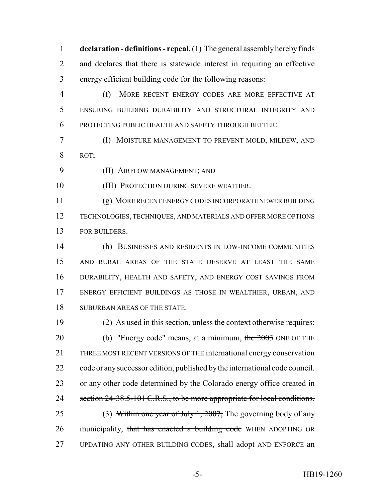**declaration - definitions - repeal.** (1) The general assembly hereby finds and declares that there is statewide interest in requiring an effective energy efficient building code for the following reasons:

 (f) MORE RECENT ENERGY CODES ARE MORE EFFECTIVE AT ENSURING BUILDING DURABILITY AND STRUCTURAL INTEGRITY AND PROTECTING PUBLIC HEALTH AND SAFETY THROUGH BETTER:

 (I) MOISTURE MANAGEMENT TO PREVENT MOLD, MILDEW, AND ROT;

(II) AIRFLOW MANAGEMENT; AND

(III) PROTECTION DURING SEVERE WEATHER.

 (g) MORE RECENT ENERGY CODES INCORPORATE NEWER BUILDING TECHNOLOGIES, TECHNIQUES, AND MATERIALS AND OFFER MORE OPTIONS FOR BUILDERS.

 (h) BUSINESSES AND RESIDENTS IN LOW-INCOME COMMUNITIES AND RURAL AREAS OF THE STATE DESERVE AT LEAST THE SAME DURABILITY, HEALTH AND SAFETY, AND ENERGY COST SAVINGS FROM ENERGY EFFICIENT BUILDINGS AS THOSE IN WEALTHIER, URBAN, AND SUBURBAN AREAS OF THE STATE.

 (2) As used in this section, unless the context otherwise requires: 20 (b) "Energy code" means, at a minimum, the ONE OF THE THREE MOST RECENT VERSIONS OF THE international energy conservation 22 code or any successor edition, published by the international code council. 23 or any other code determined by the Colorado energy office created in 24 section 24-38.5-101 C.R.S., to be more appropriate for local conditions. 25 (3) Within one year of July 1, 2007, The governing body of any 26 municipality, that has enacted a building code WHEN ADOPTING OR UPDATING ANY OTHER BUILDING CODES, shall adopt AND ENFORCE an